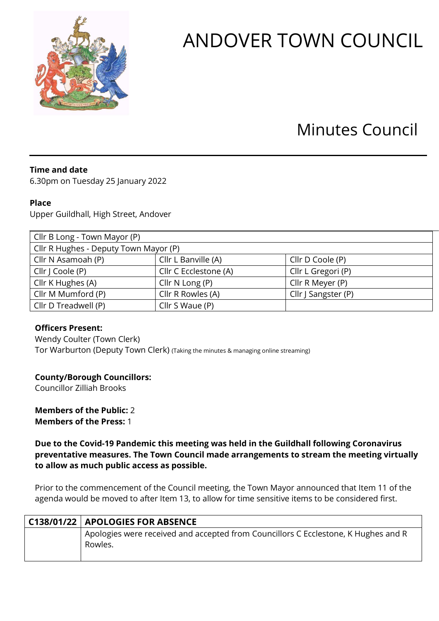

# ANDOVER TOWN COUNCIL

## Minutes Council

### **Time and date**

6.30pm on Tuesday 25 January 2022

#### **Place**

Upper Guildhall, High Street, Andover

| Cllr B Long - Town Mayor (P)          |                       |                     |  |
|---------------------------------------|-----------------------|---------------------|--|
| Cllr R Hughes - Deputy Town Mayor (P) |                       |                     |  |
| Cllr N Asamoah (P)                    | Cllr L Banville (A)   | Cllr D Coole (P)    |  |
| Cllr   Coole (P)                      | Cllr C Ecclestone (A) | Cllr L Gregori (P)  |  |
| Cllr K Hughes (A)                     | Cllr $N$ Long (P)     | Cllr R Meyer (P)    |  |
| Cllr M Mumford (P)                    | Cllr R Rowles (A)     | Cllr J Sangster (P) |  |
| Cllr D Treadwell (P)                  | Cllr S Waue (P)       |                     |  |

#### **Officers Present:**

Wendy Coulter (Town Clerk) Tor Warburton (Deputy Town Clerk) (Taking the minutes & managing online streaming)

#### **County/Borough Councillors:**

Councillor Zilliah Brooks

**Members of the Public:** 2 **Members of the Press:** 1

**Due to the Covid-19 Pandemic this meeting was held in the Guildhall following Coronavirus preventative measures. The Town Council made arrangements to stream the meeting virtually to allow as much public access as possible.** 

Prior to the commencement of the Council meeting, the Town Mayor announced that Item 11 of the agenda would be moved to after Item 13, to allow for time sensitive items to be considered first.

| C138/01/22   APOLOGIES FOR ABSENCE                                                            |
|-----------------------------------------------------------------------------------------------|
| Apologies were received and accepted from Councillors C Ecclestone, K Hughes and R<br>Rowles. |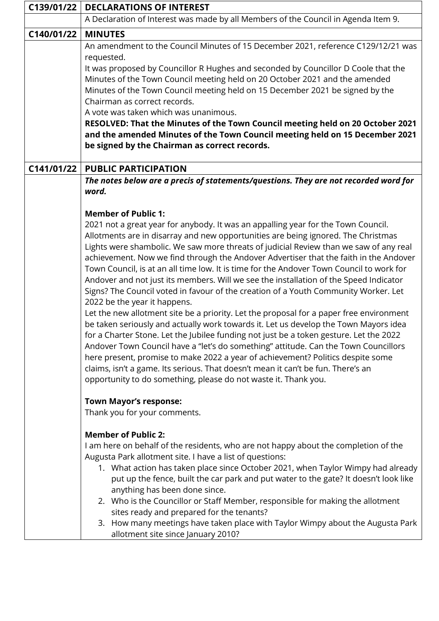| C139/01/22 | <b>DECLARATIONS OF INTEREST</b>                                                                                                                                                |  |  |
|------------|--------------------------------------------------------------------------------------------------------------------------------------------------------------------------------|--|--|
|            | A Declaration of Interest was made by all Members of the Council in Agenda Item 9.                                                                                             |  |  |
| C140/01/22 | <b>MINUTES</b>                                                                                                                                                                 |  |  |
|            | An amendment to the Council Minutes of 15 December 2021, reference C129/12/21 was                                                                                              |  |  |
|            | requested.                                                                                                                                                                     |  |  |
|            | It was proposed by Councillor R Hughes and seconded by Councillor D Coole that the<br>Minutes of the Town Council meeting held on 20 October 2021 and the amended              |  |  |
|            | Minutes of the Town Council meeting held on 15 December 2021 be signed by the                                                                                                  |  |  |
|            | Chairman as correct records.                                                                                                                                                   |  |  |
|            | A vote was taken which was unanimous.                                                                                                                                          |  |  |
|            | RESOLVED: That the Minutes of the Town Council meeting held on 20 October 2021                                                                                                 |  |  |
|            | and the amended Minutes of the Town Council meeting held on 15 December 2021                                                                                                   |  |  |
|            | be signed by the Chairman as correct records.                                                                                                                                  |  |  |
| C141/01/22 | <b>PUBLIC PARTICIPATION</b>                                                                                                                                                    |  |  |
|            | The notes below are a precis of statements/questions. They are not recorded word for                                                                                           |  |  |
|            | word.                                                                                                                                                                          |  |  |
|            |                                                                                                                                                                                |  |  |
|            | <b>Member of Public 1:</b>                                                                                                                                                     |  |  |
|            | 2021 not a great year for anybody. It was an appalling year for the Town Council.                                                                                              |  |  |
|            | Allotments are in disarray and new opportunities are being ignored. The Christmas                                                                                              |  |  |
|            | Lights were shambolic. We saw more threats of judicial Review than we saw of any real<br>achievement. Now we find through the Andover Advertiser that the faith in the Andover |  |  |
|            | Town Council, is at an all time low. It is time for the Andover Town Council to work for                                                                                       |  |  |
|            | Andover and not just its members. Will we see the installation of the Speed Indicator                                                                                          |  |  |
|            | Signs? The Council voted in favour of the creation of a Youth Community Worker. Let                                                                                            |  |  |
|            | 2022 be the year it happens.                                                                                                                                                   |  |  |
|            | Let the new allotment site be a priority. Let the proposal for a paper free environment                                                                                        |  |  |
|            | be taken seriously and actually work towards it. Let us develop the Town Mayors idea                                                                                           |  |  |
|            | for a Charter Stone. Let the Jubilee funding not just be a token gesture. Let the 2022                                                                                         |  |  |
|            | Andover Town Council have a "let's do something" attitude. Can the Town Councillors                                                                                            |  |  |
|            | here present, promise to make 2022 a year of achievement? Politics despite some<br>claims, isn't a game. Its serious. That doesn't mean it can't be fun. There's an            |  |  |
|            | opportunity to do something, please do not waste it. Thank you.                                                                                                                |  |  |
|            |                                                                                                                                                                                |  |  |
|            | <b>Town Mayor's response:</b>                                                                                                                                                  |  |  |
|            | Thank you for your comments.                                                                                                                                                   |  |  |
|            | <b>Member of Public 2:</b>                                                                                                                                                     |  |  |
|            | I am here on behalf of the residents, who are not happy about the completion of the                                                                                            |  |  |
|            | Augusta Park allotment site. I have a list of questions:                                                                                                                       |  |  |
|            | 1. What action has taken place since October 2021, when Taylor Wimpy had already                                                                                               |  |  |
|            | put up the fence, built the car park and put water to the gate? It doesn't look like                                                                                           |  |  |
|            | anything has been done since.                                                                                                                                                  |  |  |
|            | 2. Who is the Councillor or Staff Member, responsible for making the allotment                                                                                                 |  |  |
|            | sites ready and prepared for the tenants?<br>3. How many meetings have taken place with Taylor Wimpy about the Augusta Park                                                    |  |  |
|            | allotment site since January 2010?                                                                                                                                             |  |  |
|            |                                                                                                                                                                                |  |  |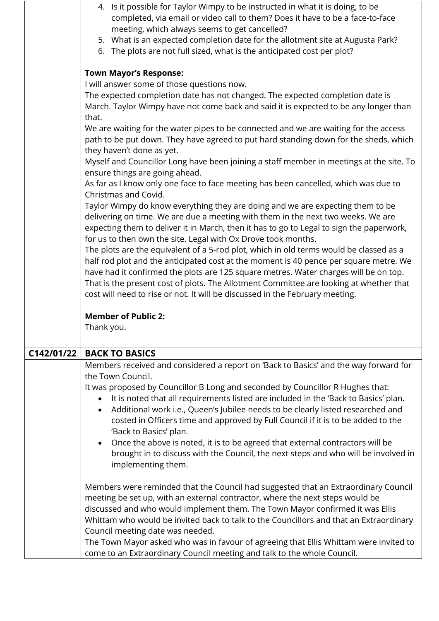|            | 4. Is it possible for Taylor Wimpy to be instructed in what it is doing, to be               |
|------------|----------------------------------------------------------------------------------------------|
|            | completed, via email or video call to them? Does it have to be a face-to-face                |
|            | meeting, which always seems to get cancelled?                                                |
|            | 5. What is an expected completion date for the allotment site at Augusta Park?               |
|            | 6. The plots are not full sized, what is the anticipated cost per plot?                      |
|            |                                                                                              |
|            | <b>Town Mayor's Response:</b>                                                                |
|            | I will answer some of those questions now.                                                   |
|            | The expected completion date has not changed. The expected completion date is                |
|            |                                                                                              |
|            | March. Taylor Wimpy have not come back and said it is expected to be any longer than         |
|            | that.                                                                                        |
|            | We are waiting for the water pipes to be connected and we are waiting for the access         |
|            | path to be put down. They have agreed to put hard standing down for the sheds, which         |
|            | they haven't done as yet.                                                                    |
|            | Myself and Councillor Long have been joining a staff member in meetings at the site. To      |
|            | ensure things are going ahead.                                                               |
|            | As far as I know only one face to face meeting has been cancelled, which was due to          |
|            | Christmas and Covid.                                                                         |
|            | Taylor Wimpy do know everything they are doing and we are expecting them to be               |
|            | delivering on time. We are due a meeting with them in the next two weeks. We are             |
|            | expecting them to deliver it in March, then it has to go to Legal to sign the paperwork,     |
|            | for us to then own the site. Legal with Ox Drove took months.                                |
|            | The plots are the equivalent of a 5-rod plot, which in old terms would be classed as a       |
|            | half rod plot and the anticipated cost at the moment is 40 pence per square metre. We        |
|            | have had it confirmed the plots are 125 square metres. Water charges will be on top.         |
|            | That is the present cost of plots. The Allotment Committee are looking at whether that       |
|            | cost will need to rise or not. It will be discussed in the February meeting.                 |
|            |                                                                                              |
|            | <b>Member of Public 2:</b>                                                                   |
|            | Thank you.                                                                                   |
|            |                                                                                              |
| C142/01/22 |                                                                                              |
|            |                                                                                              |
|            | <b>BACK TO BASICS</b>                                                                        |
|            | Members received and considered a report on 'Back to Basics' and the way forward for         |
|            | the Town Council.                                                                            |
|            | It was proposed by Councillor B Long and seconded by Councillor R Hughes that:               |
|            | It is noted that all requirements listed are included in the 'Back to Basics' plan.          |
|            | Additional work i.e., Queen's Jubilee needs to be clearly listed researched and<br>$\bullet$ |
|            | costed in Officers time and approved by Full Council if it is to be added to the             |
|            | 'Back to Basics' plan.                                                                       |
|            | Once the above is noted, it is to be agreed that external contractors will be<br>$\bullet$   |
|            | brought in to discuss with the Council, the next steps and who will be involved in           |
|            | implementing them.                                                                           |
|            |                                                                                              |
|            | Members were reminded that the Council had suggested that an Extraordinary Council           |
|            | meeting be set up, with an external contractor, where the next steps would be                |
|            | discussed and who would implement them. The Town Mayor confirmed it was Ellis                |
|            | Whittam who would be invited back to talk to the Councillors and that an Extraordinary       |
|            | Council meeting date was needed.                                                             |
|            | The Town Mayor asked who was in favour of agreeing that Ellis Whittam were invited to        |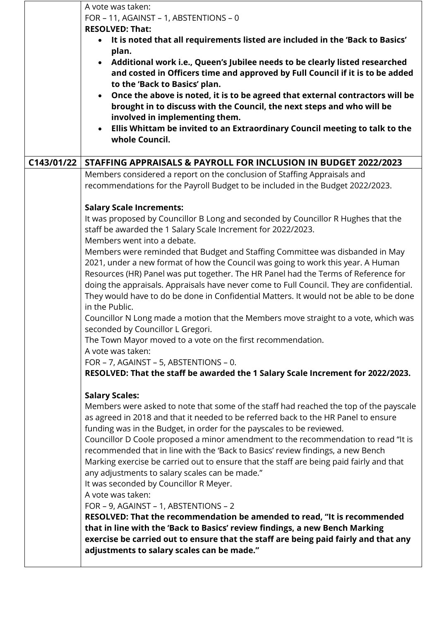|            | A vote was taken:<br>FOR - 11, AGAINST - 1, ABSTENTIONS - 0<br><b>RESOLVED: That:</b><br>It is noted that all requirements listed are included in the 'Back to Basics'<br>$\bullet$<br>plan.<br>Additional work i.e., Queen's Jubilee needs to be clearly listed researched<br>$\bullet$<br>and costed in Officers time and approved by Full Council if it is to be added<br>to the 'Back to Basics' plan.<br>Once the above is noted, it is to be agreed that external contractors will be<br>$\bullet$<br>brought in to discuss with the Council, the next steps and who will be<br>involved in implementing them.<br>Ellis Whittam be invited to an Extraordinary Council meeting to talk to the<br>$\bullet$<br>whole Council.                                                                                                                                                                                                                                                                          |
|------------|-------------------------------------------------------------------------------------------------------------------------------------------------------------------------------------------------------------------------------------------------------------------------------------------------------------------------------------------------------------------------------------------------------------------------------------------------------------------------------------------------------------------------------------------------------------------------------------------------------------------------------------------------------------------------------------------------------------------------------------------------------------------------------------------------------------------------------------------------------------------------------------------------------------------------------------------------------------------------------------------------------------|
| C143/01/22 | STAFFING APPRAISALS & PAYROLL FOR INCLUSION IN BUDGET 2022/2023                                                                                                                                                                                                                                                                                                                                                                                                                                                                                                                                                                                                                                                                                                                                                                                                                                                                                                                                             |
|            | Members considered a report on the conclusion of Staffing Appraisals and<br>recommendations for the Payroll Budget to be included in the Budget 2022/2023.                                                                                                                                                                                                                                                                                                                                                                                                                                                                                                                                                                                                                                                                                                                                                                                                                                                  |
|            | <b>Salary Scale Increments:</b>                                                                                                                                                                                                                                                                                                                                                                                                                                                                                                                                                                                                                                                                                                                                                                                                                                                                                                                                                                             |
|            | It was proposed by Councillor B Long and seconded by Councillor R Hughes that the<br>staff be awarded the 1 Salary Scale Increment for 2022/2023.<br>Members went into a debate.                                                                                                                                                                                                                                                                                                                                                                                                                                                                                                                                                                                                                                                                                                                                                                                                                            |
|            | Members were reminded that Budget and Staffing Committee was disbanded in May<br>2021, under a new format of how the Council was going to work this year. A Human<br>Resources (HR) Panel was put together. The HR Panel had the Terms of Reference for<br>doing the appraisals. Appraisals have never come to Full Council. They are confidential.<br>They would have to do be done in Confidential Matters. It would not be able to be done<br>in the Public.                                                                                                                                                                                                                                                                                                                                                                                                                                                                                                                                             |
|            | Councillor N Long made a motion that the Members move straight to a vote, which was<br>seconded by Councillor L Gregori.<br>The Town Mayor moved to a vote on the first recommendation.                                                                                                                                                                                                                                                                                                                                                                                                                                                                                                                                                                                                                                                                                                                                                                                                                     |
|            | A vote was taken:                                                                                                                                                                                                                                                                                                                                                                                                                                                                                                                                                                                                                                                                                                                                                                                                                                                                                                                                                                                           |
|            | FOR - 7, AGAINST - 5, ABSTENTIONS - 0.                                                                                                                                                                                                                                                                                                                                                                                                                                                                                                                                                                                                                                                                                                                                                                                                                                                                                                                                                                      |
|            | RESOLVED: That the staff be awarded the 1 Salary Scale Increment for 2022/2023.                                                                                                                                                                                                                                                                                                                                                                                                                                                                                                                                                                                                                                                                                                                                                                                                                                                                                                                             |
|            | <b>Salary Scales:</b><br>Members were asked to note that some of the staff had reached the top of the payscale<br>as agreed in 2018 and that it needed to be referred back to the HR Panel to ensure<br>funding was in the Budget, in order for the payscales to be reviewed.<br>Councillor D Coole proposed a minor amendment to the recommendation to read "It is<br>recommended that in line with the 'Back to Basics' review findings, a new Bench<br>Marking exercise be carried out to ensure that the staff are being paid fairly and that<br>any adjustments to salary scales can be made."<br>It was seconded by Councillor R Meyer.<br>A vote was taken:<br>FOR - 9, AGAINST - 1, ABSTENTIONS - 2<br>RESOLVED: That the recommendation be amended to read, "It is recommended<br>that in line with the 'Back to Basics' review findings, a new Bench Marking<br>exercise be carried out to ensure that the staff are being paid fairly and that any<br>adjustments to salary scales can be made." |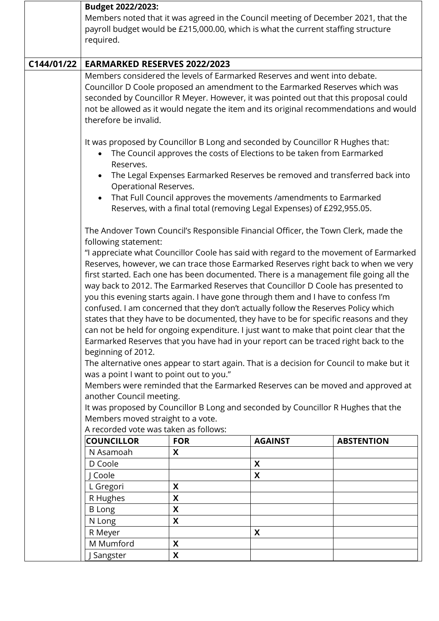|            | Budget 2022/2023:<br>Members noted that it was agreed in the Council meeting of December 2021, that the<br>payroll budget would be £215,000.00, which is what the current staffing structure<br>required.                                                                                                                                                                                                                                                                                                                                                                                                                                                                                                                                                                                                                                                                                                                                                                                                                                                                                                                                                                                                                                                                                                                                                                                                      |            |                                                                   |                                                                                       |
|------------|----------------------------------------------------------------------------------------------------------------------------------------------------------------------------------------------------------------------------------------------------------------------------------------------------------------------------------------------------------------------------------------------------------------------------------------------------------------------------------------------------------------------------------------------------------------------------------------------------------------------------------------------------------------------------------------------------------------------------------------------------------------------------------------------------------------------------------------------------------------------------------------------------------------------------------------------------------------------------------------------------------------------------------------------------------------------------------------------------------------------------------------------------------------------------------------------------------------------------------------------------------------------------------------------------------------------------------------------------------------------------------------------------------------|------------|-------------------------------------------------------------------|---------------------------------------------------------------------------------------|
| C144/01/22 | <b>EARMARKED RESERVES 2022/2023</b>                                                                                                                                                                                                                                                                                                                                                                                                                                                                                                                                                                                                                                                                                                                                                                                                                                                                                                                                                                                                                                                                                                                                                                                                                                                                                                                                                                            |            |                                                                   |                                                                                       |
|            | Members considered the levels of Earmarked Reserves and went into debate.<br>Councillor D Coole proposed an amendment to the Earmarked Reserves which was<br>seconded by Councillor R Meyer. However, it was pointed out that this proposal could<br>therefore be invalid.                                                                                                                                                                                                                                                                                                                                                                                                                                                                                                                                                                                                                                                                                                                                                                                                                                                                                                                                                                                                                                                                                                                                     |            |                                                                   | not be allowed as it would negate the item and its original recommendations and would |
|            | It was proposed by Councillor B Long and seconded by Councillor R Hughes that:<br>The Council approves the costs of Elections to be taken from Earmarked<br>Reserves.<br>The Legal Expenses Earmarked Reserves be removed and transferred back into                                                                                                                                                                                                                                                                                                                                                                                                                                                                                                                                                                                                                                                                                                                                                                                                                                                                                                                                                                                                                                                                                                                                                            |            |                                                                   |                                                                                       |
|            | Operational Reserves.                                                                                                                                                                                                                                                                                                                                                                                                                                                                                                                                                                                                                                                                                                                                                                                                                                                                                                                                                                                                                                                                                                                                                                                                                                                                                                                                                                                          |            | That Full Council approves the movements /amendments to Earmarked |                                                                                       |
|            | Reserves, with a final total (removing Legal Expenses) of £292,955.05.<br>The Andover Town Council's Responsible Financial Officer, the Town Clerk, made the<br>following statement:<br>"I appreciate what Councillor Coole has said with regard to the movement of Earmarked<br>Reserves, however, we can trace those Earmarked Reserves right back to when we very<br>first started. Each one has been documented. There is a management file going all the<br>way back to 2012. The Earmarked Reserves that Councillor D Coole has presented to<br>you this evening starts again. I have gone through them and I have to confess I'm<br>confused. I am concerned that they don't actually follow the Reserves Policy which<br>states that they have to be documented, they have to be for specific reasons and they<br>can not be held for ongoing expenditure. I just want to make that point clear that the<br>Earmarked Reserves that you have had in your report can be traced right back to the<br>beginning of 2012.<br>The alternative ones appear to start again. That is a decision for Council to make but it<br>was a point I want to point out to you."<br>Members were reminded that the Earmarked Reserves can be moved and approved at<br>another Council meeting.<br>It was proposed by Councillor B Long and seconded by Councillor R Hughes that the<br>Members moved straight to a vote. |            |                                                                   |                                                                                       |
|            | A recorded vote was taken as follows:                                                                                                                                                                                                                                                                                                                                                                                                                                                                                                                                                                                                                                                                                                                                                                                                                                                                                                                                                                                                                                                                                                                                                                                                                                                                                                                                                                          |            |                                                                   |                                                                                       |
|            | <b>COUNCILLOR</b>                                                                                                                                                                                                                                                                                                                                                                                                                                                                                                                                                                                                                                                                                                                                                                                                                                                                                                                                                                                                                                                                                                                                                                                                                                                                                                                                                                                              | <b>FOR</b> | <b>AGAINST</b>                                                    | <b>ABSTENTION</b>                                                                     |
|            | N Asamoah<br>D Coole                                                                                                                                                                                                                                                                                                                                                                                                                                                                                                                                                                                                                                                                                                                                                                                                                                                                                                                                                                                                                                                                                                                                                                                                                                                                                                                                                                                           | X          | X                                                                 |                                                                                       |
|            | J Coole                                                                                                                                                                                                                                                                                                                                                                                                                                                                                                                                                                                                                                                                                                                                                                                                                                                                                                                                                                                                                                                                                                                                                                                                                                                                                                                                                                                                        |            | X                                                                 |                                                                                       |
|            | L Gregori                                                                                                                                                                                                                                                                                                                                                                                                                                                                                                                                                                                                                                                                                                                                                                                                                                                                                                                                                                                                                                                                                                                                                                                                                                                                                                                                                                                                      | X          |                                                                   |                                                                                       |
|            | R Hughes                                                                                                                                                                                                                                                                                                                                                                                                                                                                                                                                                                                                                                                                                                                                                                                                                                                                                                                                                                                                                                                                                                                                                                                                                                                                                                                                                                                                       | X          |                                                                   |                                                                                       |
|            | <b>B</b> Long                                                                                                                                                                                                                                                                                                                                                                                                                                                                                                                                                                                                                                                                                                                                                                                                                                                                                                                                                                                                                                                                                                                                                                                                                                                                                                                                                                                                  | X          |                                                                   |                                                                                       |
|            | N Long                                                                                                                                                                                                                                                                                                                                                                                                                                                                                                                                                                                                                                                                                                                                                                                                                                                                                                                                                                                                                                                                                                                                                                                                                                                                                                                                                                                                         | X          |                                                                   |                                                                                       |
|            | R Meyer                                                                                                                                                                                                                                                                                                                                                                                                                                                                                                                                                                                                                                                                                                                                                                                                                                                                                                                                                                                                                                                                                                                                                                                                                                                                                                                                                                                                        |            | X                                                                 |                                                                                       |
|            | M Mumford                                                                                                                                                                                                                                                                                                                                                                                                                                                                                                                                                                                                                                                                                                                                                                                                                                                                                                                                                                                                                                                                                                                                                                                                                                                                                                                                                                                                      | X          |                                                                   |                                                                                       |
|            | Sangster                                                                                                                                                                                                                                                                                                                                                                                                                                                                                                                                                                                                                                                                                                                                                                                                                                                                                                                                                                                                                                                                                                                                                                                                                                                                                                                                                                                                       | X          |                                                                   |                                                                                       |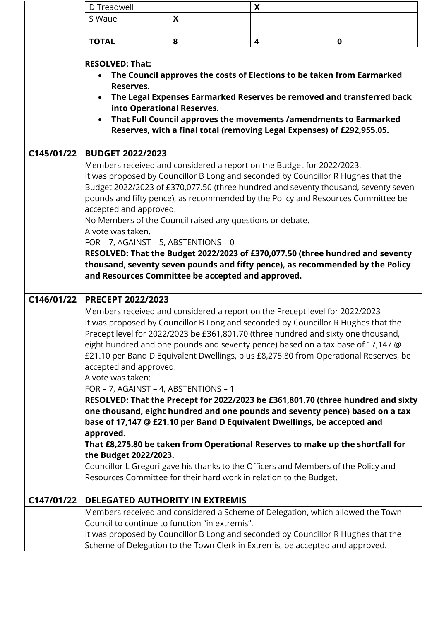|            | D Treadwell                                                                                 |   | X                                                                                                                                                                                                                                                                                                                                                                                                                                |                                                                                    |
|------------|---------------------------------------------------------------------------------------------|---|----------------------------------------------------------------------------------------------------------------------------------------------------------------------------------------------------------------------------------------------------------------------------------------------------------------------------------------------------------------------------------------------------------------------------------|------------------------------------------------------------------------------------|
|            | S Waue                                                                                      | X |                                                                                                                                                                                                                                                                                                                                                                                                                                  |                                                                                    |
|            |                                                                                             |   |                                                                                                                                                                                                                                                                                                                                                                                                                                  |                                                                                    |
|            | <b>TOTAL</b>                                                                                | 8 | 4                                                                                                                                                                                                                                                                                                                                                                                                                                | $\mathbf 0$                                                                        |
|            | <b>RESOLVED: That:</b><br>$\bullet$<br>Reserves.<br>into Operational Reserves.<br>$\bullet$ |   | The Council approves the costs of Elections to be taken from Earmarked<br>The Legal Expenses Earmarked Reserves be removed and transferred back<br>That Full Council approves the movements /amendments to Earmarked<br>Reserves, with a final total (removing Legal Expenses) of £292,955.05.                                                                                                                                   |                                                                                    |
| C145/01/22 | <b>BUDGET 2022/2023</b>                                                                     |   |                                                                                                                                                                                                                                                                                                                                                                                                                                  |                                                                                    |
|            | accepted and approved.                                                                      |   | Members received and considered a report on the Budget for 2022/2023.<br>It was proposed by Councillor B Long and seconded by Councillor R Hughes that the<br>pounds and fifty pence), as recommended by the Policy and Resources Committee be                                                                                                                                                                                   | Budget 2022/2023 of £370,077.50 (three hundred and seventy thousand, seventy seven |
|            | No Members of the Council raised any questions or debate.                                   |   |                                                                                                                                                                                                                                                                                                                                                                                                                                  |                                                                                    |
|            | A vote was taken.<br>FOR - 7, AGAINST - 5, ABSTENTIONS - 0                                  |   |                                                                                                                                                                                                                                                                                                                                                                                                                                  |                                                                                    |
|            |                                                                                             |   | RESOLVED: That the Budget 2022/2023 of £370,077.50 (three hundred and seventy                                                                                                                                                                                                                                                                                                                                                    |                                                                                    |
|            | and Resources Committee be accepted and approved.                                           |   | thousand, seventy seven pounds and fifty pence), as recommended by the Policy                                                                                                                                                                                                                                                                                                                                                    |                                                                                    |
| C146/01/22 | PRECEPT 2022/2023                                                                           |   |                                                                                                                                                                                                                                                                                                                                                                                                                                  |                                                                                    |
|            | accepted and approved.<br>A vote was taken:                                                 |   | Members received and considered a report on the Precept level for 2022/2023<br>It was proposed by Councillor B Long and seconded by Councillor R Hughes that the<br>Precept level for 2022/2023 be £361,801.70 (three hundred and sixty one thousand,<br>eight hundred and one pounds and seventy pence) based on a tax base of 17,147 @<br>£21.10 per Band D Equivalent Dwellings, plus £8,275.80 from Operational Reserves, be |                                                                                    |
|            | FOR - 7, AGAINST - 4, ABSTENTIONS - 1                                                       |   |                                                                                                                                                                                                                                                                                                                                                                                                                                  |                                                                                    |
|            |                                                                                             |   |                                                                                                                                                                                                                                                                                                                                                                                                                                  | RESOLVED: That the Precept for 2022/2023 be £361,801.70 (three hundred and sixty   |
|            |                                                                                             |   | one thousand, eight hundred and one pounds and seventy pence) based on a tax<br>base of 17,147 @ £21.10 per Band D Equivalent Dwellings, be accepted and                                                                                                                                                                                                                                                                         |                                                                                    |
|            | approved.                                                                                   |   | That £8,275.80 be taken from Operational Reserves to make up the shortfall for                                                                                                                                                                                                                                                                                                                                                   |                                                                                    |
|            | the Budget 2022/2023.                                                                       |   |                                                                                                                                                                                                                                                                                                                                                                                                                                  |                                                                                    |
|            |                                                                                             |   | Councillor L Gregori gave his thanks to the Officers and Members of the Policy and<br>Resources Committee for their hard work in relation to the Budget.                                                                                                                                                                                                                                                                         |                                                                                    |
| C147/01/22 | <b>DELEGATED AUTHORITY IN EXTREMIS</b>                                                      |   |                                                                                                                                                                                                                                                                                                                                                                                                                                  |                                                                                    |
|            |                                                                                             |   | Members received and considered a Scheme of Delegation, which allowed the Town                                                                                                                                                                                                                                                                                                                                                   |                                                                                    |
|            | Council to continue to function "in extremis".                                              |   | It was proposed by Councillor B Long and seconded by Councillor R Hughes that the<br>Scheme of Delegation to the Town Clerk in Extremis, be accepted and approved.                                                                                                                                                                                                                                                               |                                                                                    |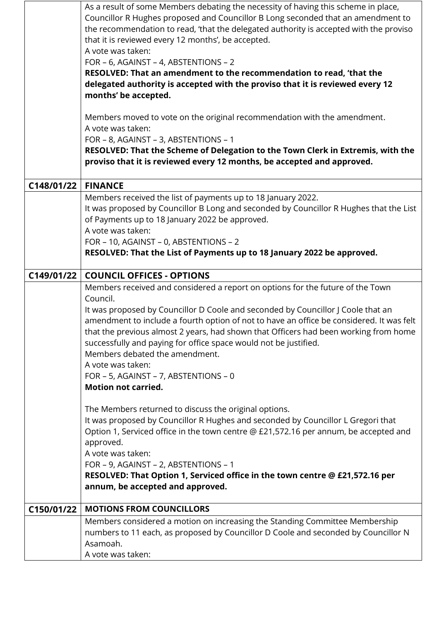|            | As a result of some Members debating the necessity of having this scheme in place,<br>Councillor R Hughes proposed and Councillor B Long seconded that an amendment to<br>the recommendation to read, 'that the delegated authority is accepted with the proviso<br>that it is reviewed every 12 months', be accepted.<br>A vote was taken:<br>FOR - 6, AGAINST - 4, ABSTENTIONS - 2<br>RESOLVED: That an amendment to the recommendation to read, 'that the<br>delegated authority is accepted with the proviso that it is reviewed every 12<br>months' be accepted.<br>Members moved to vote on the original recommendation with the amendment.<br>A vote was taken:<br>FOR - 8, AGAINST - 3, ABSTENTIONS - 1<br>RESOLVED: That the Scheme of Delegation to the Town Clerk in Extremis, with the<br>proviso that it is reviewed every 12 months, be accepted and approved. |
|------------|------------------------------------------------------------------------------------------------------------------------------------------------------------------------------------------------------------------------------------------------------------------------------------------------------------------------------------------------------------------------------------------------------------------------------------------------------------------------------------------------------------------------------------------------------------------------------------------------------------------------------------------------------------------------------------------------------------------------------------------------------------------------------------------------------------------------------------------------------------------------------|
|            |                                                                                                                                                                                                                                                                                                                                                                                                                                                                                                                                                                                                                                                                                                                                                                                                                                                                              |
| C148/01/22 | <b>FINANCE</b><br>Members received the list of payments up to 18 January 2022.<br>It was proposed by Councillor B Long and seconded by Councillor R Hughes that the List<br>of Payments up to 18 January 2022 be approved.<br>A vote was taken:<br>FOR - 10, AGAINST - 0, ABSTENTIONS - 2<br>RESOLVED: That the List of Payments up to 18 January 2022 be approved.                                                                                                                                                                                                                                                                                                                                                                                                                                                                                                          |
| C149/01/22 | <b>COUNCIL OFFICES - OPTIONS</b>                                                                                                                                                                                                                                                                                                                                                                                                                                                                                                                                                                                                                                                                                                                                                                                                                                             |
|            | Members received and considered a report on options for the future of the Town<br>Council.<br>It was proposed by Councillor D Coole and seconded by Councillor J Coole that an<br>amendment to include a fourth option of not to have an office be considered. It was felt<br>that the previous almost 2 years, had shown that Officers had been working from home<br>successfully and paying for office space would not be justified.<br>Members debated the amendment.<br>A vote was taken:<br>FOR - 5, AGAINST - 7, ABSTENTIONS - 0<br><b>Motion not carried.</b>                                                                                                                                                                                                                                                                                                         |
|            | The Members returned to discuss the original options.<br>It was proposed by Councillor R Hughes and seconded by Councillor L Gregori that<br>Option 1, Serviced office in the town centre @ £21,572.16 per annum, be accepted and<br>approved.<br>A vote was taken:<br>FOR - 9, AGAINST - 2, ABSTENTIONS - 1<br>RESOLVED: That Option 1, Serviced office in the town centre @ £21,572.16 per<br>annum, be accepted and approved.                                                                                                                                                                                                                                                                                                                                                                                                                                             |
| C150/01/22 | <b>MOTIONS FROM COUNCILLORS</b>                                                                                                                                                                                                                                                                                                                                                                                                                                                                                                                                                                                                                                                                                                                                                                                                                                              |
|            | Members considered a motion on increasing the Standing Committee Membership                                                                                                                                                                                                                                                                                                                                                                                                                                                                                                                                                                                                                                                                                                                                                                                                  |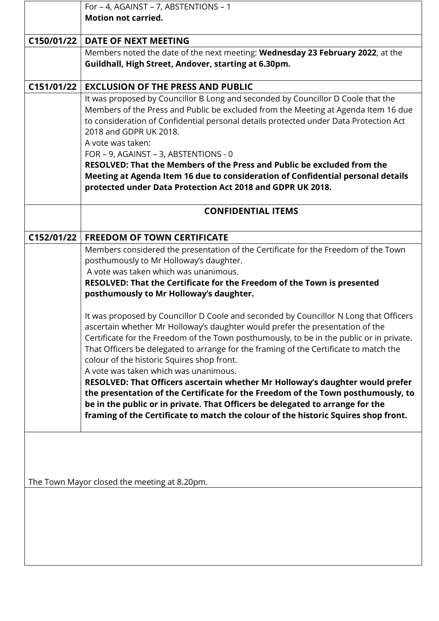|            | For - 4, AGAINST - 7, ABSTENTIONS - 1                                                                                                                                  |
|------------|------------------------------------------------------------------------------------------------------------------------------------------------------------------------|
|            | <b>Motion not carried.</b>                                                                                                                                             |
| C150/01/22 | <b>DATE OF NEXT MEETING</b>                                                                                                                                            |
|            |                                                                                                                                                                        |
|            | Members noted the date of the next meeting: Wednesday 23 February 2022, at the<br>Guildhall, High Street, Andover, starting at 6.30pm.                                 |
|            |                                                                                                                                                                        |
| C151/01/22 | <b>EXCLUSION OF THE PRESS AND PUBLIC</b>                                                                                                                               |
|            | It was proposed by Councillor B Long and seconded by Councillor D Coole that the                                                                                       |
|            | Members of the Press and Public be excluded from the Meeting at Agenda Item 16 due                                                                                     |
|            | to consideration of Confidential personal details protected under Data Protection Act                                                                                  |
|            | 2018 and GDPR UK 2018.                                                                                                                                                 |
|            | A vote was taken:                                                                                                                                                      |
|            | FOR - 9, AGAINST - 3, ABSTENTIONS - 0<br>RESOLVED: That the Members of the Press and Public be excluded from the                                                       |
|            | Meeting at Agenda Item 16 due to consideration of Confidential personal details                                                                                        |
|            | protected under Data Protection Act 2018 and GDPR UK 2018.                                                                                                             |
|            |                                                                                                                                                                        |
|            | <b>CONFIDENTIAL ITEMS</b>                                                                                                                                              |
|            |                                                                                                                                                                        |
| C152/01/22 | <b>FREEDOM OF TOWN CERTIFICATE</b>                                                                                                                                     |
|            | Members considered the presentation of the Certificate for the Freedom of the Town                                                                                     |
|            | posthumously to Mr Holloway's daughter.                                                                                                                                |
|            | A vote was taken which was unanimous.                                                                                                                                  |
|            | RESOLVED: That the Certificate for the Freedom of the Town is presented                                                                                                |
|            | posthumously to Mr Holloway's daughter.                                                                                                                                |
|            |                                                                                                                                                                        |
|            | It was proposed by Councillor D Coole and seconded by Councillor N Long that Officers<br>ascertain whether Mr Holloway's daughter would prefer the presentation of the |
|            | Certificate for the Freedom of the Town posthumously, to be in the public or in private.                                                                               |
|            | That Officers be delegated to arrange for the framing of the Certificate to match the                                                                                  |
|            | colour of the historic Squires shop front.                                                                                                                             |
|            | A vote was taken which was unanimous.                                                                                                                                  |
|            | RESOLVED: That Officers ascertain whether Mr Holloway's daughter would prefer                                                                                          |
|            | the presentation of the Certificate for the Freedom of the Town posthumously, to                                                                                       |
|            | be in the public or in private. That Officers be delegated to arrange for the                                                                                          |
|            | framing of the Certificate to match the colour of the historic Squires shop front.                                                                                     |
|            |                                                                                                                                                                        |
|            |                                                                                                                                                                        |
|            |                                                                                                                                                                        |
|            |                                                                                                                                                                        |
|            | The Town Mayor closed the meeting at 8.20pm.                                                                                                                           |
|            |                                                                                                                                                                        |
|            |                                                                                                                                                                        |
|            |                                                                                                                                                                        |
|            |                                                                                                                                                                        |
|            |                                                                                                                                                                        |
|            |                                                                                                                                                                        |
|            |                                                                                                                                                                        |